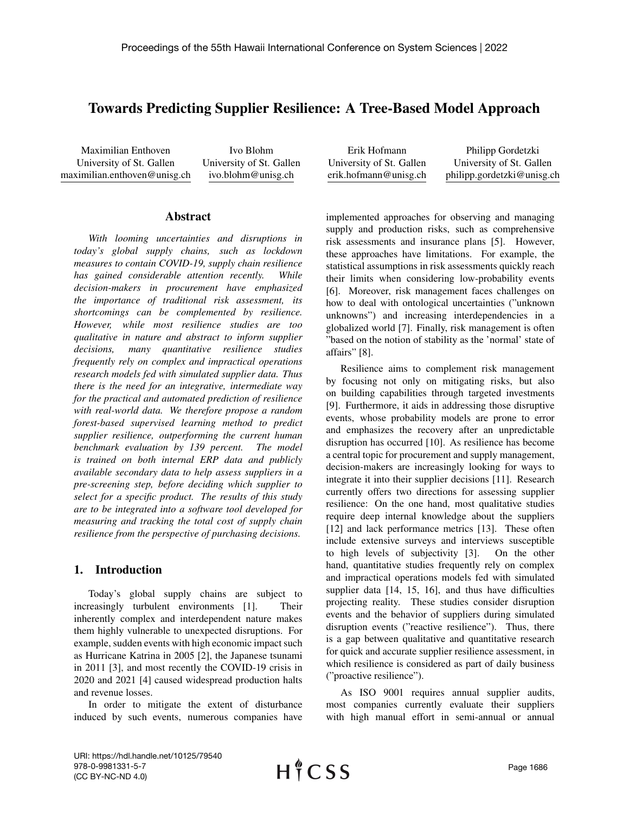# Towards Predicting Supplier Resilience: A Tree-Based Model Approach

Maximilian Enthoven University of St. Gallen maximilian.enthoven@unisg.ch

Ivo Blohm University of St. Gallen ivo.blohm@unisg.ch

## Abstract

*With looming uncertainties and disruptions in today's global supply chains, such as lockdown measures to contain COVID-19, supply chain resilience has gained considerable attention recently. While decision-makers in procurement have emphasized the importance of traditional risk assessment, its shortcomings can be complemented by resilience. However, while most resilience studies are too qualitative in nature and abstract to inform supplier decisions, many quantitative resilience studies frequently rely on complex and impractical operations research models fed with simulated supplier data. Thus there is the need for an integrative, intermediate way for the practical and automated prediction of resilience with real-world data. We therefore propose a random forest-based supervised learning method to predict supplier resilience, outperforming the current human benchmark evaluation by 139 percent. The model is trained on both internal ERP data and publicly available secondary data to help assess suppliers in a pre-screening step, before deciding which supplier to select for a specific product. The results of this study are to be integrated into a software tool developed for measuring and tracking the total cost of supply chain resilience from the perspective of purchasing decisions.*

# 1. Introduction

Today's global supply chains are subject to increasingly turbulent environments [1]. Their inherently complex and interdependent nature makes them highly vulnerable to unexpected disruptions. For example, sudden events with high economic impact such as Hurricane Katrina in 2005 [2], the Japanese tsunami in 2011 [3], and most recently the COVID-19 crisis in 2020 and 2021 [4] caused widespread production halts and revenue losses.

In order to mitigate the extent of disturbance induced by such events, numerous companies have

| Erik Hofmann             | Philipp Gordetzki          |
|--------------------------|----------------------------|
| University of St. Gallen | University of St. Gallen   |
| erik.hofmann@unisg.ch    | philipp.gordetzki@unisg.ch |
|                          |                            |

implemented approaches for observing and managing supply and production risks, such as comprehensive risk assessments and insurance plans [5]. However, these approaches have limitations. For example, the statistical assumptions in risk assessments quickly reach their limits when considering low-probability events [6]. Moreover, risk management faces challenges on how to deal with ontological uncertainties ("unknown unknowns") and increasing interdependencies in a globalized world [7]. Finally, risk management is often "based on the notion of stability as the 'normal' state of affairs" [8].

Resilience aims to complement risk management by focusing not only on mitigating risks, but also on building capabilities through targeted investments [9]. Furthermore, it aids in addressing those disruptive events, whose probability models are prone to error and emphasizes the recovery after an unpredictable disruption has occurred [10]. As resilience has become a central topic for procurement and supply management, decision-makers are increasingly looking for ways to integrate it into their supplier decisions [11]. Research currently offers two directions for assessing supplier resilience: On the one hand, most qualitative studies require deep internal knowledge about the suppliers [12] and lack performance metrics [13]. These often include extensive surveys and interviews susceptible to high levels of subjectivity [3]. On the other hand, quantitative studies frequently rely on complex and impractical operations models fed with simulated supplier data [14, 15, 16], and thus have difficulties projecting reality. These studies consider disruption events and the behavior of suppliers during simulated disruption events ("reactive resilience"). Thus, there is a gap between qualitative and quantitative research for quick and accurate supplier resilience assessment, in which resilience is considered as part of daily business ("proactive resilience").

As ISO 9001 requires annual supplier audits, most companies currently evaluate their suppliers with high manual effort in semi-annual or annual

URI: https://hdl.handle.net/10125/79540 978-0-9981331-5-7 (CC BY-NC-ND 4.0)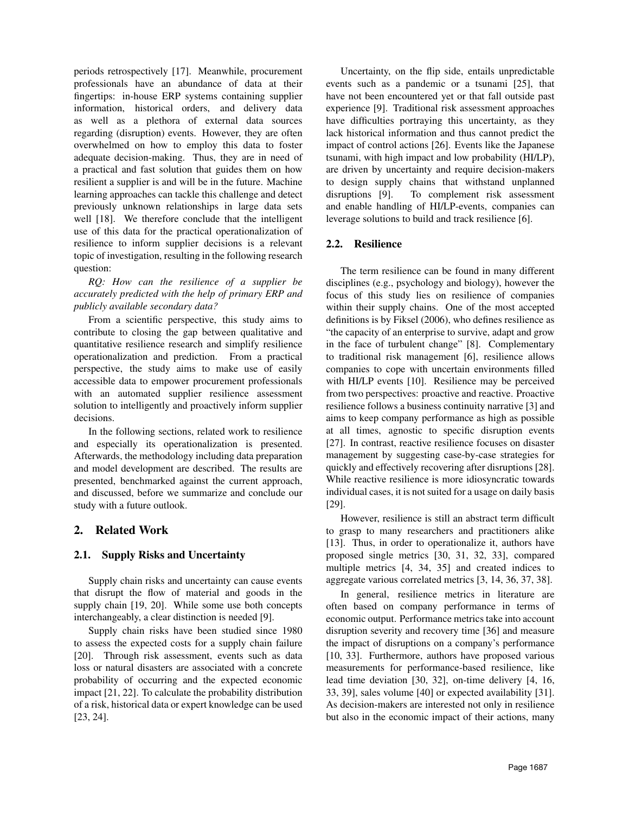periods retrospectively [17]. Meanwhile, procurement professionals have an abundance of data at their fingertips: in-house ERP systems containing supplier information, historical orders, and delivery data as well as a plethora of external data sources regarding (disruption) events. However, they are often overwhelmed on how to employ this data to foster adequate decision-making. Thus, they are in need of a practical and fast solution that guides them on how resilient a supplier is and will be in the future. Machine learning approaches can tackle this challenge and detect previously unknown relationships in large data sets well [18]. We therefore conclude that the intelligent use of this data for the practical operationalization of resilience to inform supplier decisions is a relevant topic of investigation, resulting in the following research question:

*RQ: How can the resilience of a supplier be accurately predicted with the help of primary ERP and publicly available secondary data?*

From a scientific perspective, this study aims to contribute to closing the gap between qualitative and quantitative resilience research and simplify resilience operationalization and prediction. From a practical perspective, the study aims to make use of easily accessible data to empower procurement professionals with an automated supplier resilience assessment solution to intelligently and proactively inform supplier decisions.

In the following sections, related work to resilience and especially its operationalization is presented. Afterwards, the methodology including data preparation and model development are described. The results are presented, benchmarked against the current approach, and discussed, before we summarize and conclude our study with a future outlook.

# 2. Related Work

# 2.1. Supply Risks and Uncertainty

Supply chain risks and uncertainty can cause events that disrupt the flow of material and goods in the supply chain [19, 20]. While some use both concepts interchangeably, a clear distinction is needed [9].

Supply chain risks have been studied since 1980 to assess the expected costs for a supply chain failure [20]. Through risk assessment, events such as data loss or natural disasters are associated with a concrete probability of occurring and the expected economic impact [21, 22]. To calculate the probability distribution of a risk, historical data or expert knowledge can be used [23, 24].

Uncertainty, on the flip side, entails unpredictable events such as a pandemic or a tsunami [25], that have not been encountered yet or that fall outside past experience [9]. Traditional risk assessment approaches have difficulties portraying this uncertainty, as they lack historical information and thus cannot predict the impact of control actions [26]. Events like the Japanese tsunami, with high impact and low probability (HI/LP), are driven by uncertainty and require decision-makers to design supply chains that withstand unplanned disruptions [9]. To complement risk assessment and enable handling of HI/LP-events, companies can leverage solutions to build and track resilience [6].

## 2.2. Resilience

The term resilience can be found in many different disciplines (e.g., psychology and biology), however the focus of this study lies on resilience of companies within their supply chains. One of the most accepted definitions is by Fiksel (2006), who defines resilience as "the capacity of an enterprise to survive, adapt and grow in the face of turbulent change" [8]. Complementary to traditional risk management [6], resilience allows companies to cope with uncertain environments filled with HI/LP events [10]. Resilience may be perceived from two perspectives: proactive and reactive. Proactive resilience follows a business continuity narrative [3] and aims to keep company performance as high as possible at all times, agnostic to specific disruption events [27]. In contrast, reactive resilience focuses on disaster management by suggesting case-by-case strategies for quickly and effectively recovering after disruptions [28]. While reactive resilience is more idiosyncratic towards individual cases, it is not suited for a usage on daily basis [29].

However, resilience is still an abstract term difficult to grasp to many researchers and practitioners alike [13]. Thus, in order to operationalize it, authors have proposed single metrics [30, 31, 32, 33], compared multiple metrics [4, 34, 35] and created indices to aggregate various correlated metrics [3, 14, 36, 37, 38].

In general, resilience metrics in literature are often based on company performance in terms of economic output. Performance metrics take into account disruption severity and recovery time [36] and measure the impact of disruptions on a company's performance [10, 33]. Furthermore, authors have proposed various measurements for performance-based resilience, like lead time deviation [30, 32], on-time delivery [4, 16, 33, 39], sales volume [40] or expected availability [31]. As decision-makers are interested not only in resilience but also in the economic impact of their actions, many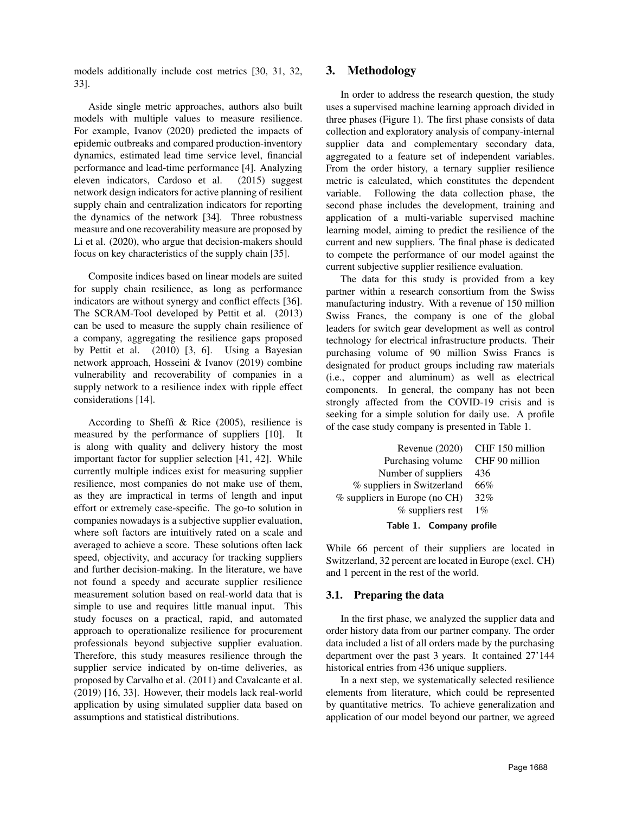models additionally include cost metrics [30, 31, 32, 33].

Aside single metric approaches, authors also built models with multiple values to measure resilience. For example, Ivanov (2020) predicted the impacts of epidemic outbreaks and compared production-inventory dynamics, estimated lead time service level, financial performance and lead-time performance [4]. Analyzing eleven indicators, Cardoso et al. (2015) suggest network design indicators for active planning of resilient supply chain and centralization indicators for reporting the dynamics of the network [34]. Three robustness measure and one recoverability measure are proposed by Li et al. (2020), who argue that decision-makers should focus on key characteristics of the supply chain [35].

Composite indices based on linear models are suited for supply chain resilience, as long as performance indicators are without synergy and conflict effects [36]. The SCRAM-Tool developed by Pettit et al. (2013) can be used to measure the supply chain resilience of a company, aggregating the resilience gaps proposed by Pettit et al. (2010) [3, 6]. Using a Bayesian network approach, Hosseini & Ivanov (2019) combine vulnerability and recoverability of companies in a supply network to a resilience index with ripple effect considerations [14].

According to Sheffi & Rice (2005), resilience is measured by the performance of suppliers [10]. It is along with quality and delivery history the most important factor for supplier selection [41, 42]. While currently multiple indices exist for measuring supplier resilience, most companies do not make use of them, as they are impractical in terms of length and input effort or extremely case-specific. The go-to solution in companies nowadays is a subjective supplier evaluation, where soft factors are intuitively rated on a scale and averaged to achieve a score. These solutions often lack speed, objectivity, and accuracy for tracking suppliers and further decision-making. In the literature, we have not found a speedy and accurate supplier resilience measurement solution based on real-world data that is simple to use and requires little manual input. This study focuses on a practical, rapid, and automated approach to operationalize resilience for procurement professionals beyond subjective supplier evaluation. Therefore, this study measures resilience through the supplier service indicated by on-time deliveries, as proposed by Carvalho et al. (2011) and Cavalcante et al. (2019) [16, 33]. However, their models lack real-world application by using simulated supplier data based on assumptions and statistical distributions.

# 3. Methodology

In order to address the research question, the study uses a supervised machine learning approach divided in three phases (Figure 1). The first phase consists of data collection and exploratory analysis of company-internal supplier data and complementary secondary data, aggregated to a feature set of independent variables. From the order history, a ternary supplier resilience metric is calculated, which constitutes the dependent variable. Following the data collection phase, the second phase includes the development, training and application of a multi-variable supervised machine learning model, aiming to predict the resilience of the current and new suppliers. The final phase is dedicated to compete the performance of our model against the current subjective supplier resilience evaluation.

The data for this study is provided from a key partner within a research consortium from the Swiss manufacturing industry. With a revenue of 150 million Swiss Francs, the company is one of the global leaders for switch gear development as well as control technology for electrical infrastructure products. Their purchasing volume of 90 million Swiss Francs is designated for product groups including raw materials (i.e., copper and aluminum) as well as electrical components. In general, the company has not been strongly affected from the COVID-19 crisis and is seeking for a simple solution for daily use. A profile of the case study company is presented in Table 1.

|                                  | Revenue (2020) CHF 150 million |
|----------------------------------|--------------------------------|
| Purchasing volume CHF 90 million |                                |
| Number of suppliers              | 436                            |
| % suppliers in Switzerland       | - 66%                          |
| $%$ suppliers in Europe (no CH)  | 32%                            |
| $%$ suppliers rest               | $1\%$                          |
|                                  |                                |

Table 1. Company profile

While 66 percent of their suppliers are located in Switzerland, 32 percent are located in Europe (excl. CH) and 1 percent in the rest of the world.

# 3.1. Preparing the data

In the first phase, we analyzed the supplier data and order history data from our partner company. The order data included a list of all orders made by the purchasing department over the past 3 years. It contained 27'144 historical entries from 436 unique suppliers.

In a next step, we systematically selected resilience elements from literature, which could be represented by quantitative metrics. To achieve generalization and application of our model beyond our partner, we agreed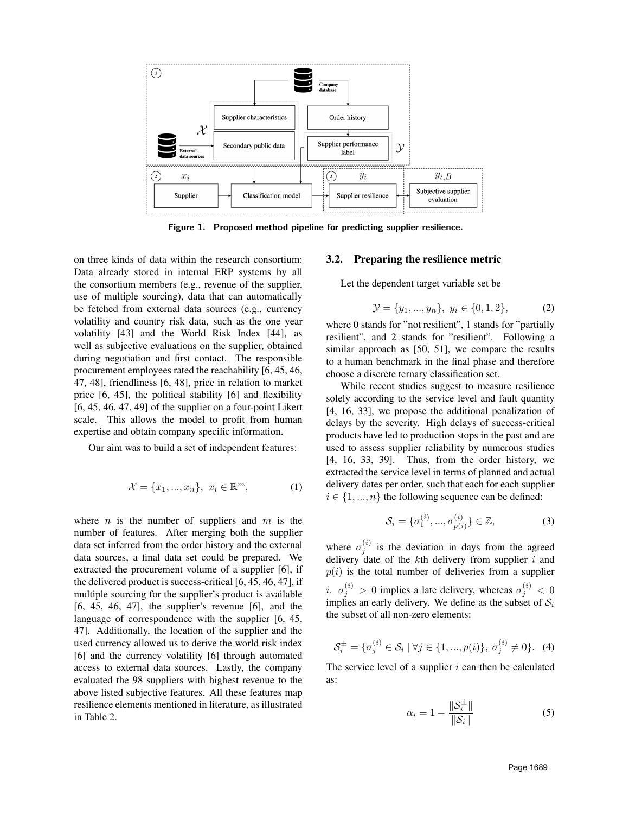

Figure 1. Proposed method pipeline for predicting supplier resilience.

on three kinds of data within the research consortium: Data already stored in internal ERP systems by all the consortium members (e.g., revenue of the supplier, use of multiple sourcing), data that can automatically be fetched from external data sources (e.g., currency volatility and country risk data, such as the one year volatility [43] and the World Risk Index [44], as well as subjective evaluations on the supplier, obtained during negotiation and first contact. The responsible procurement employees rated the reachability [6, 45, 46, 47, 48], friendliness [6, 48], price in relation to market price [6, 45], the political stability [6] and flexibility [6, 45, 46, 47, 49] of the supplier on a four-point Likert scale. This allows the model to profit from human expertise and obtain company specific information.

Our aim was to build a set of independent features:

$$
\mathcal{X} = \{x_1, \dots, x_n\}, \ x_i \in \mathbb{R}^m,\tag{1}
$$

where  $n$  is the number of suppliers and  $m$  is the number of features. After merging both the supplier data set inferred from the order history and the external data sources, a final data set could be prepared. We extracted the procurement volume of a supplier [6], if the delivered product is success-critical [6, 45, 46, 47], if multiple sourcing for the supplier's product is available [6, 45, 46, 47], the supplier's revenue [6], and the language of correspondence with the supplier [6, 45, 47]. Additionally, the location of the supplier and the used currency allowed us to derive the world risk index [6] and the currency volatility [6] through automated access to external data sources. Lastly, the company evaluated the 98 suppliers with highest revenue to the above listed subjective features. All these features map resilience elements mentioned in literature, as illustrated in Table 2.

#### 3.2. Preparing the resilience metric

Let the dependent target variable set be

$$
\mathcal{Y} = \{y_1, ..., y_n\}, \ y_i \in \{0, 1, 2\},\tag{2}
$$

where 0 stands for "not resilient", 1 stands for "partially resilient", and 2 stands for "resilient". Following a similar approach as [50, 51], we compare the results to a human benchmark in the final phase and therefore choose a discrete ternary classification set.

While recent studies suggest to measure resilience solely according to the service level and fault quantity [4, 16, 33], we propose the additional penalization of delays by the severity. High delays of success-critical products have led to production stops in the past and are used to assess supplier reliability by numerous studies [4, 16, 33, 39]. Thus, from the order history, we extracted the service level in terms of planned and actual delivery dates per order, such that each for each supplier  $i \in \{1, ..., n\}$  the following sequence can be defined:

$$
S_i = \{\sigma_1^{(i)}, ..., \sigma_{p(i)}^{(i)}\} \in \mathbb{Z},
$$
\n(3)

where  $\sigma_j^{(i)}$  is the deviation in days from the agreed delivery date of the  $k$ th delivery from supplier  $i$  and  $p(i)$  is the total number of deliveries from a supplier *i.*  $\sigma_j^{(i)} > 0$  implies a late delivery, whereas  $\sigma_j^{(i)} < 0$ implies an early delivery. We define as the subset of  $S_i$ the subset of all non-zero elements:

$$
\mathcal{S}_i^{\pm} = \{ \sigma_j^{(i)} \in \mathcal{S}_i \mid \forall j \in \{1, ..., p(i)\}, \ \sigma_j^{(i)} \neq 0 \}. \tag{4}
$$

The service level of a supplier  $i$  can then be calculated as:

$$
\alpha_i = 1 - \frac{\|\mathcal{S}_i^{\pm}\|}{\|\mathcal{S}_i\|} \tag{5}
$$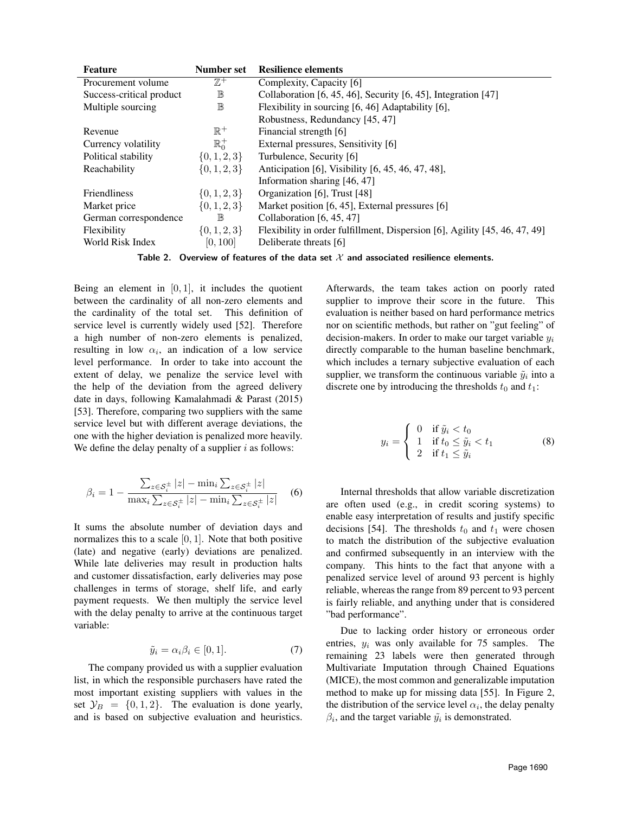| Feature                  | Number set       | <b>Resilience elements</b>                                                 |
|--------------------------|------------------|----------------------------------------------------------------------------|
| Procurement volume       | $\mathbb{Z}^+$   | Complexity, Capacity [6]                                                   |
| Success-critical product | $\mathbb B$      | Collaboration [6, 45, 46], Security $[6, 45]$ , Integration $[47]$         |
| Multiple sourcing        | $\mathbb B$      | Flexibility in sourcing [6, 46] Adaptability [6],                          |
|                          |                  | Robustness, Redundancy [45, 47]                                            |
| Revenue                  | $\mathbb{R}^+$   | Financial strength [6]                                                     |
| Currency volatility      | $\mathbb{R}^+$   | External pressures, Sensitivity [6]                                        |
| Political stability      | $\{0, 1, 2, 3\}$ | Turbulence, Security [6]                                                   |
| Reachability             | $\{0, 1, 2, 3\}$ | Anticipation [6], Visibility [6, 45, 46, 47, 48],                          |
|                          |                  | Information sharing [46, 47]                                               |
| <b>Friendliness</b>      | $\{0,1,2,3\}$    | Organization [6], Trust [48]                                               |
| Market price             | $\{0, 1, 2, 3\}$ | Market position [6, 45], External pressures [6]                            |
| German correspondence    | $\mathbb B$      | Collaboration $[6, 45, 47]$                                                |
| Flexibility              | $\{0, 1, 2, 3\}$ | Flexibility in order fulfillment, Dispersion [6], Agility [45, 46, 47, 49] |
| World Risk Index         | [0, 100]         | Deliberate threats [6]                                                     |

Table 2. Overview of features of the data set  $\mathcal X$  and associated resilience elements.

Being an element in  $[0, 1]$ , it includes the quotient between the cardinality of all non-zero elements and the cardinality of the total set. This definition of service level is currently widely used [52]. Therefore a high number of non-zero elements is penalized, resulting in low  $\alpha_i$ , an indication of a low service level performance. In order to take into account the extent of delay, we penalize the service level with the help of the deviation from the agreed delivery date in days, following Kamalahmadi & Parast (2015) [53]. Therefore, comparing two suppliers with the same service level but with different average deviations, the one with the higher deviation is penalized more heavily. We define the delay penalty of a supplier  $i$  as follows:

$$
\beta_i = 1 - \frac{\sum_{z \in \mathcal{S}_i^{\pm}} |z| - \min_i \sum_{z \in \mathcal{S}_i^{\pm}} |z|}{\max_i \sum_{z \in \mathcal{S}_i^{\pm}} |z| - \min_i \sum_{z \in \mathcal{S}_i^{\pm}} |z|} \quad (6)
$$

It sums the absolute number of deviation days and normalizes this to a scale  $[0, 1]$ . Note that both positive (late) and negative (early) deviations are penalized. While late deliveries may result in production halts and customer dissatisfaction, early deliveries may pose challenges in terms of storage, shelf life, and early payment requests. We then multiply the service level with the delay penalty to arrive at the continuous target variable:

$$
\tilde{y}_i = \alpha_i \beta_i \in [0, 1].\tag{7}
$$

The company provided us with a supplier evaluation list, in which the responsible purchasers have rated the most important existing suppliers with values in the set  $\mathcal{Y}_B = \{0, 1, 2\}$ . The evaluation is done yearly, and is based on subjective evaluation and heuristics. Afterwards, the team takes action on poorly rated supplier to improve their score in the future. This evaluation is neither based on hard performance metrics nor on scientific methods, but rather on "gut feeling" of decision-makers. In order to make our target variable  $y_i$ directly comparable to the human baseline benchmark, which includes a ternary subjective evaluation of each supplier, we transform the continuous variable  $\tilde{y}_i$  into a discrete one by introducing the thresholds  $t_0$  and  $t_1$ :

$$
y_i = \begin{cases} 0 & \text{if } \tilde{y}_i < t_0 \\ 1 & \text{if } t_0 \le \tilde{y}_i < t_1 \\ 2 & \text{if } t_1 \le \tilde{y}_i \end{cases}
$$
 (8)

Internal thresholds that allow variable discretization are often used (e.g., in credit scoring systems) to enable easy interpretation of results and justify specific decisions [54]. The thresholds  $t_0$  and  $t_1$  were chosen to match the distribution of the subjective evaluation and confirmed subsequently in an interview with the company. This hints to the fact that anyone with a penalized service level of around 93 percent is highly reliable, whereas the range from 89 percent to 93 percent is fairly reliable, and anything under that is considered "bad performance".

Due to lacking order history or erroneous order entries,  $y_i$  was only available for 75 samples. The remaining 23 labels were then generated through Multivariate Imputation through Chained Equations (MICE), the most common and generalizable imputation method to make up for missing data [55]. In Figure 2, the distribution of the service level  $\alpha_i$ , the delay penalty  $\beta_i$ , and the target variable  $\tilde{y}_i$  is demonstrated.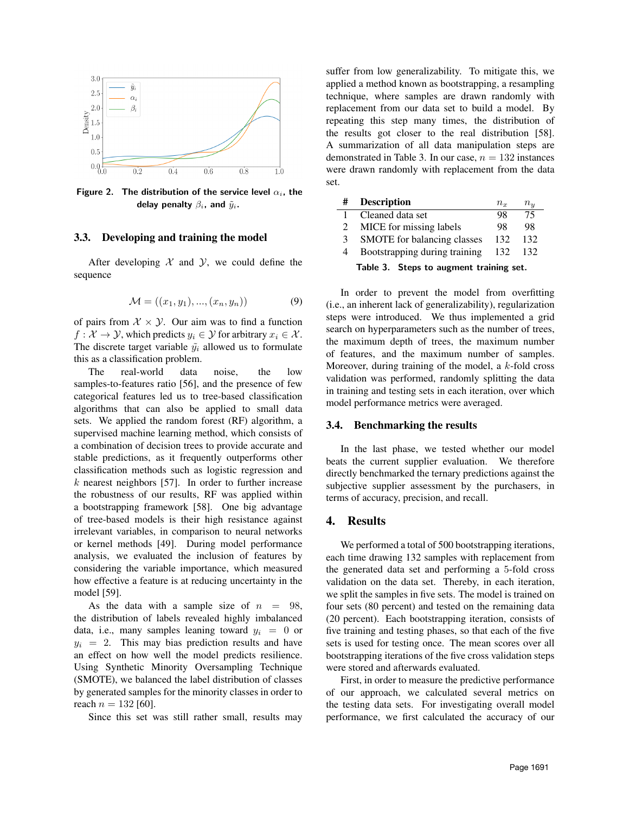

Figure 2. The distribution of the service level  $\alpha_i$ , the delay penalty  $\beta_i$ , and  $\tilde{y}_i$ .

#### 3.3. Developing and training the model

After developing  $X$  and  $Y$ , we could define the sequence

$$
\mathcal{M} = ((x_1, y_1), ..., (x_n, y_n))
$$
\n(9)

of pairs from  $X \times Y$ . Our aim was to find a function  $f: \mathcal{X} \to \mathcal{Y}$ , which predicts  $y_i \in \mathcal{Y}$  for arbitrary  $x_i \in \mathcal{X}$ . The discrete target variable  $\tilde{y}_i$  allowed us to formulate this as a classification problem.

The real-world data noise, the low samples-to-features ratio [56], and the presence of few categorical features led us to tree-based classification algorithms that can also be applied to small data sets. We applied the random forest (RF) algorithm, a supervised machine learning method, which consists of a combination of decision trees to provide accurate and stable predictions, as it frequently outperforms other classification methods such as logistic regression and  $k$  nearest neighbors [57]. In order to further increase the robustness of our results, RF was applied within a bootstrapping framework [58]. One big advantage of tree-based models is their high resistance against irrelevant variables, in comparison to neural networks or kernel methods [49]. During model performance analysis, we evaluated the inclusion of features by considering the variable importance, which measured how effective a feature is at reducing uncertainty in the model [59].

As the data with a sample size of  $n = 98$ , the distribution of labels revealed highly imbalanced data, i.e., many samples leaning toward  $y_i = 0$  or  $y_i = 2$ . This may bias prediction results and have an effect on how well the model predicts resilience. Using Synthetic Minority Oversampling Technique (SMOTE), we balanced the label distribution of classes by generated samples for the minority classes in order to reach  $n = 132$  [60].

Since this set was still rather small, results may

suffer from low generalizability. To mitigate this, we applied a method known as bootstrapping, a resampling technique, where samples are drawn randomly with replacement from our data set to build a model. By repeating this step many times, the distribution of the results got closer to the real distribution [58]. A summarization of all data manipulation steps are demonstrated in Table 3. In our case,  $n = 132$  instances were drawn randomly with replacement from the data set.

|                                         | <b>Description</b>            | $n_x$ | $n_{\bm{u}}$ |  |
|-----------------------------------------|-------------------------------|-------|--------------|--|
|                                         | Cleaned data set              | 98    | 75           |  |
|                                         | MICE for missing labels       | 98    | 98           |  |
| 3                                       | SMOTE for balancing classes   | 132   | 132          |  |
|                                         | Bootstrapping during training | 132   | 132          |  |
| Table 3. Steps to augment training set. |                               |       |              |  |

In order to prevent the model from overfitting (i.e., an inherent lack of generalizability), regularization steps were introduced. We thus implemented a grid search on hyperparameters such as the number of trees, the maximum depth of trees, the maximum number of features, and the maximum number of samples. Moreover, during training of the model, a  $k$ -fold cross validation was performed, randomly splitting the data in training and testing sets in each iteration, over which model performance metrics were averaged.

#### 3.4. Benchmarking the results

In the last phase, we tested whether our model beats the current supplier evaluation. We therefore directly benchmarked the ternary predictions against the subjective supplier assessment by the purchasers, in terms of accuracy, precision, and recall.

## 4. Results

We performed a total of 500 bootstrapping iterations, each time drawing 132 samples with replacement from the generated data set and performing a 5-fold cross validation on the data set. Thereby, in each iteration, we split the samples in five sets. The model is trained on four sets (80 percent) and tested on the remaining data (20 percent). Each bootstrapping iteration, consists of five training and testing phases, so that each of the five sets is used for testing once. The mean scores over all bootstrapping iterations of the five cross validation steps were stored and afterwards evaluated.

First, in order to measure the predictive performance of our approach, we calculated several metrics on the testing data sets. For investigating overall model performance, we first calculated the accuracy of our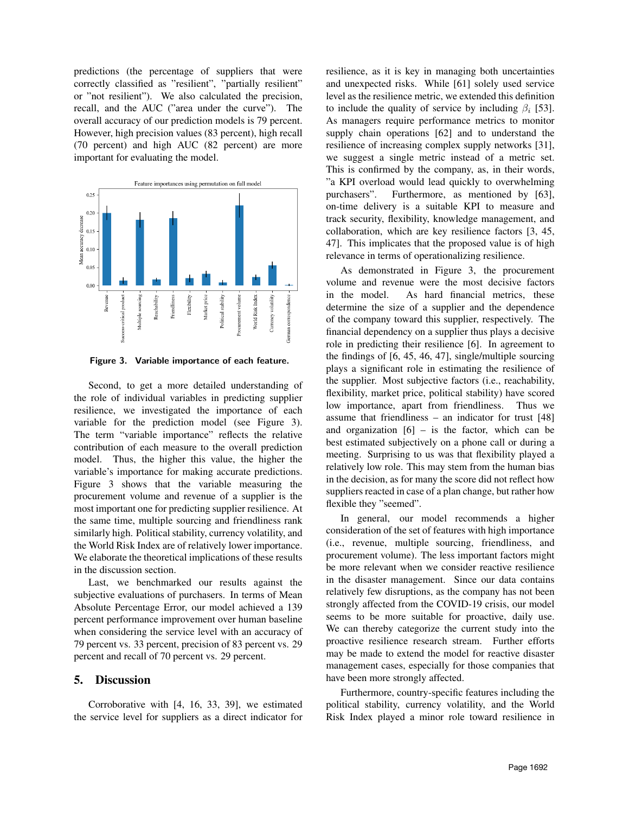predictions (the percentage of suppliers that were correctly classified as "resilient", "partially resilient" or "not resilient"). We also calculated the precision, recall, and the AUC ("area under the curve"). The overall accuracy of our prediction models is 79 percent. However, high precision values (83 percent), high recall (70 percent) and high AUC (82 percent) are more important for evaluating the model.



Figure 3. Variable importance of each feature.

Second, to get a more detailed understanding of the role of individual variables in predicting supplier resilience, we investigated the importance of each variable for the prediction model (see Figure 3). The term "variable importance" reflects the relative contribution of each measure to the overall prediction model. Thus, the higher this value, the higher the variable's importance for making accurate predictions. Figure 3 shows that the variable measuring the procurement volume and revenue of a supplier is the most important one for predicting supplier resilience. At the same time, multiple sourcing and friendliness rank similarly high. Political stability, currency volatility, and the World Risk Index are of relatively lower importance. We elaborate the theoretical implications of these results in the discussion section.

Last, we benchmarked our results against the subjective evaluations of purchasers. In terms of Mean Absolute Percentage Error, our model achieved a 139 percent performance improvement over human baseline when considering the service level with an accuracy of 79 percent vs. 33 percent, precision of 83 percent vs. 29 percent and recall of 70 percent vs. 29 percent.

## 5. Discussion

Corroborative with [4, 16, 33, 39], we estimated the service level for suppliers as a direct indicator for resilience, as it is key in managing both uncertainties and unexpected risks. While [61] solely used service level as the resilience metric, we extended this definition to include the quality of service by including  $\beta_i$  [53]. As managers require performance metrics to monitor supply chain operations [62] and to understand the resilience of increasing complex supply networks [31], we suggest a single metric instead of a metric set. This is confirmed by the company, as, in their words, "a KPI overload would lead quickly to overwhelming purchasers". Furthermore, as mentioned by [63], on-time delivery is a suitable KPI to measure and track security, flexibility, knowledge management, and collaboration, which are key resilience factors [3, 45, 47]. This implicates that the proposed value is of high relevance in terms of operationalizing resilience.

As demonstrated in Figure 3, the procurement volume and revenue were the most decisive factors in the model. As hard financial metrics, these determine the size of a supplier and the dependence of the company toward this supplier, respectively. The financial dependency on a supplier thus plays a decisive role in predicting their resilience [6]. In agreement to the findings of [6, 45, 46, 47], single/multiple sourcing plays a significant role in estimating the resilience of the supplier. Most subjective factors (i.e., reachability, flexibility, market price, political stability) have scored low importance, apart from friendliness. Thus we assume that friendliness – an indicator for trust [48] and organization  $[6]$  – is the factor, which can be best estimated subjectively on a phone call or during a meeting. Surprising to us was that flexibility played a relatively low role. This may stem from the human bias in the decision, as for many the score did not reflect how suppliers reacted in case of a plan change, but rather how flexible they "seemed".

In general, our model recommends a higher consideration of the set of features with high importance (i.e., revenue, multiple sourcing, friendliness, and procurement volume). The less important factors might be more relevant when we consider reactive resilience in the disaster management. Since our data contains relatively few disruptions, as the company has not been strongly affected from the COVID-19 crisis, our model seems to be more suitable for proactive, daily use. We can thereby categorize the current study into the proactive resilience research stream. Further efforts may be made to extend the model for reactive disaster management cases, especially for those companies that have been more strongly affected.

Furthermore, country-specific features including the political stability, currency volatility, and the World Risk Index played a minor role toward resilience in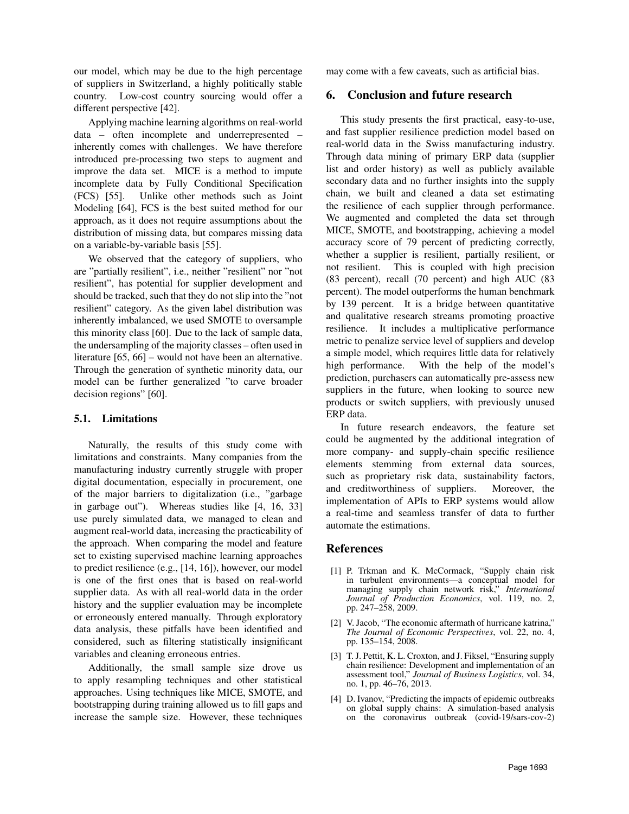our model, which may be due to the high percentage of suppliers in Switzerland, a highly politically stable country. Low-cost country sourcing would offer a different perspective [42].

Applying machine learning algorithms on real-world data – often incomplete and underrepresented – inherently comes with challenges. We have therefore introduced pre-processing two steps to augment and improve the data set. MICE is a method to impute incomplete data by Fully Conditional Specification (FCS) [55]. Unlike other methods such as Joint Modeling [64], FCS is the best suited method for our approach, as it does not require assumptions about the distribution of missing data, but compares missing data on a variable-by-variable basis [55].

We observed that the category of suppliers, who are "partially resilient", i.e., neither "resilient" nor "not resilient", has potential for supplier development and should be tracked, such that they do not slip into the "not resilient" category. As the given label distribution was inherently imbalanced, we used SMOTE to oversample this minority class [60]. Due to the lack of sample data, the undersampling of the majority classes – often used in literature [65, 66] – would not have been an alternative. Through the generation of synthetic minority data, our model can be further generalized "to carve broader decision regions" [60].

## 5.1. Limitations

Naturally, the results of this study come with limitations and constraints. Many companies from the manufacturing industry currently struggle with proper digital documentation, especially in procurement, one of the major barriers to digitalization (i.e., "garbage in garbage out"). Whereas studies like [4, 16, 33] use purely simulated data, we managed to clean and augment real-world data, increasing the practicability of the approach. When comparing the model and feature set to existing supervised machine learning approaches to predict resilience (e.g., [14, 16]), however, our model is one of the first ones that is based on real-world supplier data. As with all real-world data in the order history and the supplier evaluation may be incomplete or erroneously entered manually. Through exploratory data analysis, these pitfalls have been identified and considered, such as filtering statistically insignificant variables and cleaning erroneous entries.

Additionally, the small sample size drove us to apply resampling techniques and other statistical approaches. Using techniques like MICE, SMOTE, and bootstrapping during training allowed us to fill gaps and increase the sample size. However, these techniques

may come with a few caveats, such as artificial bias.

## 6. Conclusion and future research

This study presents the first practical, easy-to-use, and fast supplier resilience prediction model based on real-world data in the Swiss manufacturing industry. Through data mining of primary ERP data (supplier list and order history) as well as publicly available secondary data and no further insights into the supply chain, we built and cleaned a data set estimating the resilience of each supplier through performance. We augmented and completed the data set through MICE, SMOTE, and bootstrapping, achieving a model accuracy score of 79 percent of predicting correctly, whether a supplier is resilient, partially resilient, or not resilient. This is coupled with high precision (83 percent), recall (70 percent) and high AUC (83 percent). The model outperforms the human benchmark by 139 percent. It is a bridge between quantitative and qualitative research streams promoting proactive resilience. It includes a multiplicative performance metric to penalize service level of suppliers and develop a simple model, which requires little data for relatively high performance. With the help of the model's prediction, purchasers can automatically pre-assess new suppliers in the future, when looking to source new products or switch suppliers, with previously unused ERP data.

In future research endeavors, the feature set could be augmented by the additional integration of more company- and supply-chain specific resilience elements stemming from external data sources, such as proprietary risk data, sustainability factors, and creditworthiness of suppliers. Moreover, the implementation of APIs to ERP systems would allow a real-time and seamless transfer of data to further automate the estimations.

## References

- [1] P. Trkman and K. McCormack, "Supply chain risk in turbulent environments—a conceptual model for managing supply chain network risk," *International Journal of Production Economics*, vol. 119, no. 2, pp. 247–258, 2009.
- [2] V. Jacob, "The economic aftermath of hurricane katrina," *The Journal of Economic Perspectives*, vol. 22, no. 4, pp. 135–154, 2008.
- [3] T. J. Pettit, K. L. Croxton, and J. Fiksel, "Ensuring supply chain resilience: Development and implementation of an assessment tool," *Journal of Business Logistics*, vol. 34, no. 1, pp. 46–76, 2013.
- [4] D. Ivanov, "Predicting the impacts of epidemic outbreaks on global supply chains: A simulation-based analysis on the coronavirus outbreak (covid-19/sars-cov-2)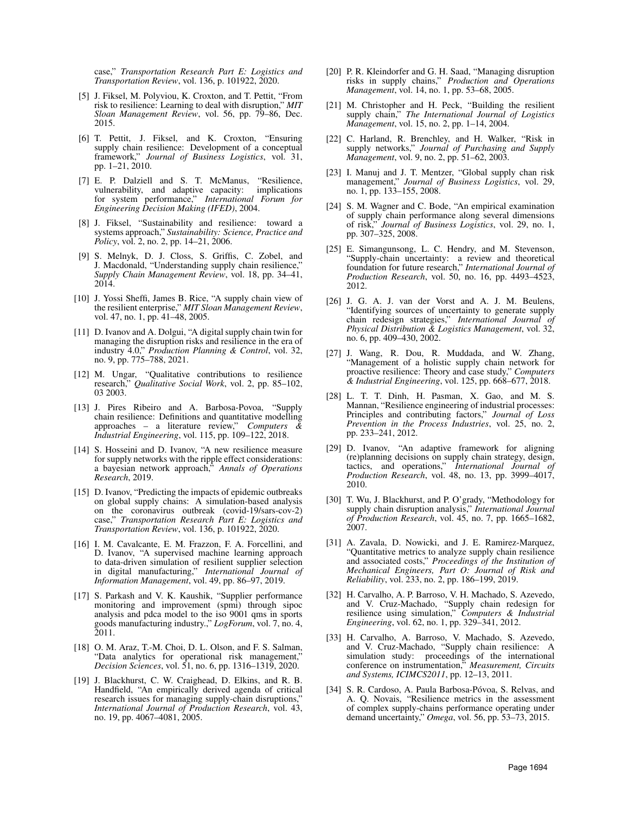case," *Transportation Research Part E: Logistics and Transportation Review*, vol. 136, p. 101922, 2020.

- [5] J. Fiksel, M. Polyviou, K. Croxton, and T. Pettit, "From risk to resilience: Learning to deal with disruption," *MIT Sloan Management Review*, vol. 56, pp. 79–86, Dec. 2015.
- [6] T. Pettit, J. Fiksel, and K. Croxton, "Ensuring supply chain resilience: Development of a conceptual framework," *Journal of Business Logistics*, vol. 31, pp. 1–21, 2010.
- [7] E. P. Dalziell and S. T. McManus, "Resilience, vulnerability, and adaptive capacity: implications for system performance," *International Forum for Engineering Decision Making (IFED)*, 2004.
- [8] J. Fiksel, "Sustainability and resilience: toward a systems approach," *Sustainability: Science, Practice and Policy*, vol. 2, no. 2, pp. 14–21, 2006.
- [9] S. Melnyk, D. J. Closs, S. Griffis, C. Zobel, and J. Macdonald, "Understanding supply chain resilience," *Supply Chain Management Review*, vol. 18, pp. 34–41, 2014.
- [10] J. Yossi Sheffi, James B. Rice, "A supply chain view of the resilient enterprise," *MIT Sloan Management Review*, vol. 47, no. 1, pp. 41–48, 2005.
- [11] D. Ivanov and A. Dolgui, "A digital supply chain twin for managing the disruption risks and resilience in the era of industry 4.0," *Production Planning & Control*, vol. 32, no. 9, pp. 775–788, 2021.
- [12] M. Ungar, "Qualitative contributions to resilience research," *Qualitative Social Work*, vol. 2, pp. 85–102, 03 2003.
- [13] J. Pires Ribeiro and A. Barbosa-Povoa, "Supply chain resilience: Definitions and quantitative modelling approaches – a literature review," *Computers Industrial Engineering*, vol. 115, pp. 109–122, 2018.
- [14] S. Hosseini and D. Ivanov, "A new resilience measure for supply networks with the ripple effect considerations: a bayesian network approach," *Annals of Operations Research*, 2019.
- [15] D. Ivanov, "Predicting the impacts of epidemic outbreaks on global supply chains: A simulation-based analysis on the coronavirus outbreak (covid-19/sars-cov-2) case," *Transportation Research Part E: Logistics and Transportation Review*, vol. 136, p. 101922, 2020.
- [16] I. M. Cavalcante, E. M. Frazzon, F. A. Forcellini, and D. Ivanov, "A supervised machine learning approach to data-driven simulation of resilient supplier selection in digital manufacturing," *International Journal of Information Management*, vol. 49, pp. 86–97, 2019.
- [17] S. Parkash and V. K. Kaushik, "Supplier performance monitoring and improvement (spmi) through sipoc analysis and pdca model to the iso 9001 qms in sports goods manufacturing industry.," *LogForum*, vol. 7, no. 4, 2011.
- [18] O. M. Araz, T.-M. Choi, D. L. Olson, and F. S. Salman, "Data analytics for operational risk management," *Decision Sciences*, vol. 51, no. 6, pp. 1316–1319, 2020.
- [19] J. Blackhurst, C. W. Craighead, D. Elkins, and R. B. Handfield, "An empirically derived agenda of critical research issues for managing supply-chain disruptions, *International Journal of Production Research*, vol. 43, no. 19, pp. 4067–4081, 2005.
- [20] P. R. Kleindorfer and G. H. Saad, "Managing disruption risks in supply chains," *Production and Operations Management*, vol. 14, no. 1, pp. 53–68, 2005.
- [21] M. Christopher and H. Peck, "Building the resilient supply chain," *The International Journal of Logistics Management*, vol. 15, no. 2, pp. 1–14, 2004.
- [22] C. Harland, R. Brenchley, and H. Walker, "Risk in supply networks," *Journal of Purchasing and Supply Management*, vol. 9, no. 2, pp. 51–62, 2003.
- [23] I. Manuj and J. T. Mentzer, "Global supply chan risk management," *Journal of Business Logistics*, vol. 29, no. 1, pp. 133–155, 2008.
- [24] S. M. Wagner and C. Bode, "An empirical examination of supply chain performance along several dimensions of risk," *Journal of Business Logistics*, vol. 29, no. 1, pp. 307–325, 2008.
- [25] E. Simangunsong, L. C. Hendry, and M. Stevenson, "Supply-chain uncertainty: a review and theoretical foundation for future research," *International Journal of Production Research*, vol. 50, no. 16, pp. 4493–4523, 2012.
- [26] J. G. A. J. van der Vorst and A. J. M. Beulens, "Identifying sources of uncertainty to generate supply chain redesign strategies," *International Journal of Physical Distribution & Logistics Management*, vol. 32, no. 6, pp. 409–430, 2002.
- [27] J. Wang, R. Dou, R. Muddada, and W. Zhang, "Management of a holistic supply chain network for proactive resilience: Theory and case study," *Computers & Industrial Engineering*, vol. 125, pp. 668–677, 2018.
- [28] L. T. T. Dinh, H. Pasman, X. Gao, and M. S. Mannan, "Resilience engineering of industrial processes: Principles and contributing factors," *Journal of Loss Prevention in the Process Industries*, vol. 25, no. 2, pp. 233–241, 2012.
- [29] D. Ivanov, "An adaptive framework for aligning (re)planning decisions on supply chain strategy, design, tactics, and operations," *International Journal of Production Research*, vol. 48, no. 13, pp. 3999–4017, 2010.
- [30] T. Wu, J. Blackhurst, and P. O'grady, "Methodology for supply chain disruption analysis," *International Journal of Production Research*, vol. 45, no. 7, pp. 1665–1682, 2007.
- [31] A. Zavala, D. Nowicki, and J. E. Ramirez-Marquez, "Quantitative metrics to analyze supply chain resilience and associated costs," *Proceedings of the Institution of Mechanical Engineers, Part O: Journal of Risk and Reliability*, vol. 233, no. 2, pp. 186–199, 2019.
- [32] H. Carvalho, A. P. Barroso, V. H. Machado, S. Azevedo, and V. Cruz-Machado, "Supply chain redesign for resilience using simulation," *Computers & Industrial Engineering*, vol. 62, no. 1, pp. 329–341, 2012.
- [33] H. Carvalho, A. Barroso, V. Machado, S. Azevedo, and V. Cruz-Machado, "Supply chain resilience: A simulation study: proceedings of the international conference on instrumentation," *Measurement, Circuits and Systems, ICIMCS2011*, pp. 12–13, 2011.
- [34] S. R. Cardoso, A. Paula Barbosa-Póvoa, S. Relvas, and A. Q. Novais, "Resilience metrics in the assessment of complex supply-chains performance operating under demand uncertainty," *Omega*, vol. 56, pp. 53–73, 2015.